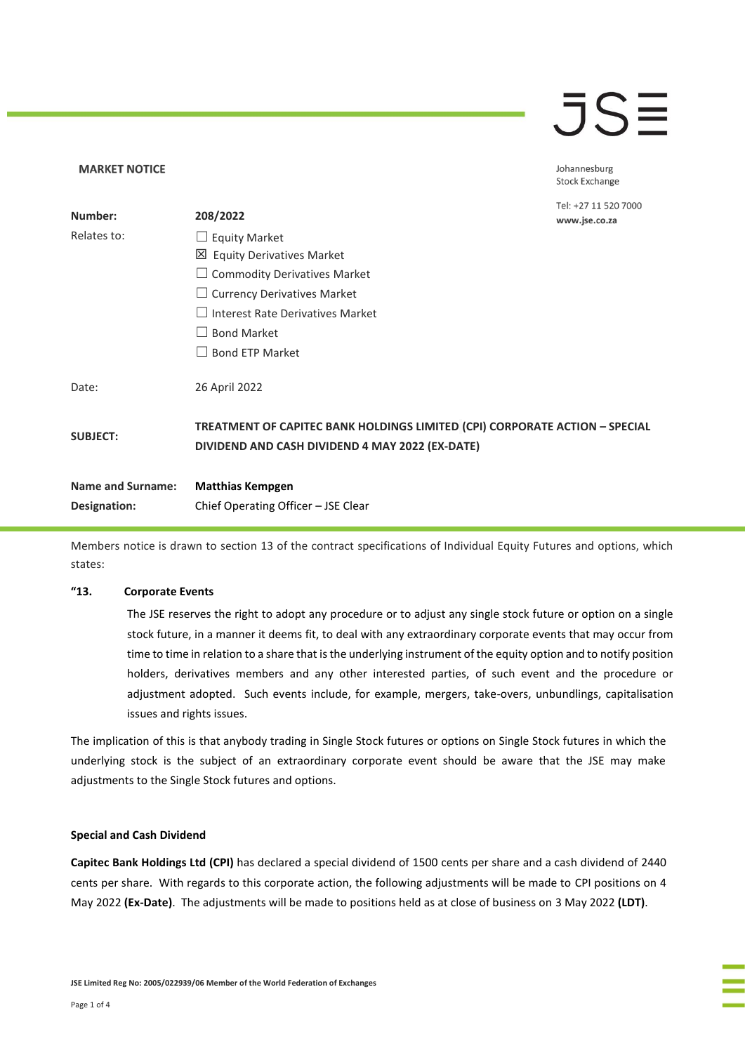### **JSE**

Johannesburg **Stock Exchange** 

| Number:                  | 208/2022                                                                                                                       | Tel: +27 11 520 7000<br>www.jse.co.za |
|--------------------------|--------------------------------------------------------------------------------------------------------------------------------|---------------------------------------|
| Relates to:              | $\Box$ Equity Market                                                                                                           |                                       |
|                          | $\boxtimes$ Equity Derivatives Market                                                                                          |                                       |
|                          | $\Box$ Commodity Derivatives Market                                                                                            |                                       |
|                          | $\Box$ Currency Derivatives Market                                                                                             |                                       |
|                          | $\Box$ Interest Rate Derivatives Market                                                                                        |                                       |
|                          | <b>Bond Market</b>                                                                                                             |                                       |
|                          | <b>Bond ETP Market</b>                                                                                                         |                                       |
| Date:                    | 26 April 2022                                                                                                                  |                                       |
| <b>SUBJECT:</b>          | TREATMENT OF CAPITEC BANK HOLDINGS LIMITED (CPI) CORPORATE ACTION - SPECIAL<br>DIVIDEND AND CASH DIVIDEND 4 MAY 2022 (EX-DATE) |                                       |
| <b>Name and Surname:</b> | <b>Matthias Kempgen</b>                                                                                                        |                                       |
| Designation:             | Chief Operating Officer - JSE Clear                                                                                            |                                       |

Members notice is drawn to section 13 of the contract specifications of Individual Equity Futures and options, which states:

### **"13. Corporate Events**

**MARKET NOTICE** 

The JSE reserves the right to adopt any procedure or to adjust any single stock future or option on a single stock future, in a manner it deems fit, to deal with any extraordinary corporate events that may occur from time to time in relation to a share that is the underlying instrument of the equity option and to notify position holders, derivatives members and any other interested parties, of such event and the procedure or adjustment adopted. Such events include, for example, mergers, take-overs, unbundlings, capitalisation issues and rights issues.

The implication of this is that anybody trading in Single Stock futures or options on Single Stock futures in which the underlying stock is the subject of an extraordinary corporate event should be aware that the JSE may make adjustments to the Single Stock futures and options.

### **Special and Cash Dividend**

**Capitec Bank Holdings Ltd (CPI)** has declared a special dividend of 1500 cents per share and a cash dividend of 2440 cents per share. With regards to this corporate action, the following adjustments will be made to CPI positions on 4 May 2022 **(Ex-Date)**. The adjustments will be made to positions held as at close of business on 3 May 2022 **(LDT)**.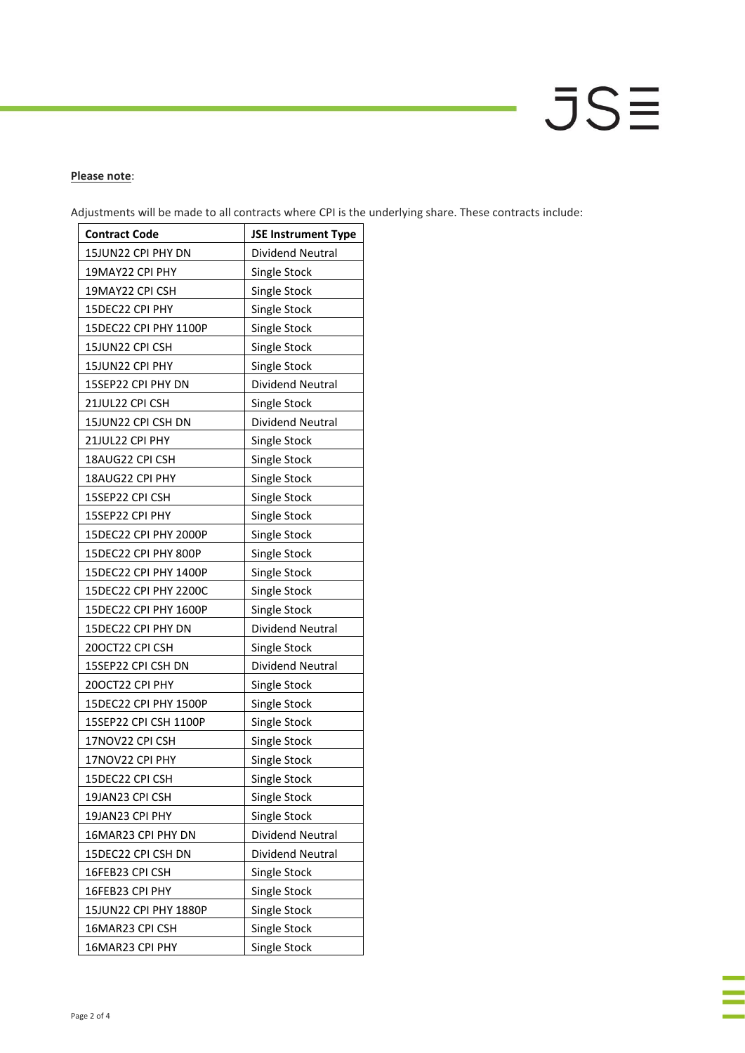# $JS\equiv$

### **Please note**:

Adjustments will be made to all contracts where CPI is the underlying share. These contracts include:

| <b>Contract Code</b>  | <b>JSE Instrument Type</b> |
|-----------------------|----------------------------|
| 15JUN22 CPI PHY DN    | <b>Dividend Neutral</b>    |
| 19MAY22 CPI PHY       | Single Stock               |
| 19MAY22 CPI CSH       | Single Stock               |
| 15DEC22 CPI PHY       | Single Stock               |
| 15DEC22 CPI PHY 1100P | Single Stock               |
| 15JUN22 CPI CSH       | Single Stock               |
| 15JUN22 CPI PHY       | Single Stock               |
| 15SEP22 CPI PHY DN    | <b>Dividend Neutral</b>    |
| 21JUL22 CPI CSH       | Single Stock               |
| 15JUN22 CPI CSH DN    | Dividend Neutral           |
| 21JUL22 CPI PHY       | Single Stock               |
| 18AUG22 CPI CSH       | Single Stock               |
| 18AUG22 CPI PHY       | Single Stock               |
| 15SEP22 CPI CSH       | Single Stock               |
| 15SEP22 CPI PHY       | Single Stock               |
| 15DEC22 CPI PHY 2000P | Single Stock               |
| 15DEC22 CPI PHY 800P  | Single Stock               |
| 15DEC22 CPI PHY 1400P | Single Stock               |
| 15DEC22 CPI PHY 2200C | Single Stock               |
| 15DEC22 CPI PHY 1600P | Single Stock               |
| 15DEC22 CPI PHY DN    | Dividend Neutral           |
| 20OCT22 CPI CSH       | Single Stock               |
| 15SEP22 CPI CSH DN    | Dividend Neutral           |
| 20OCT22 CPI PHY       | Single Stock               |
| 15DEC22 CPI PHY 1500P | Single Stock               |
| 15SEP22 CPI CSH 1100P | Single Stock               |
| 17NOV22 CPI CSH       | Single Stock               |
| 17NOV22 CPI PHY       | Single Stock               |
| 15DEC22 CPI CSH       | Single Stock               |
| 19JAN23 CPI CSH       | Single Stock               |
| 19JAN23 CPI PHY       | Single Stock               |
| 16MAR23 CPI PHY DN    | Dividend Neutral           |
| 15DEC22 CPI CSH DN    | Dividend Neutral           |
| 16FEB23 CPI CSH       | Single Stock               |
| 16FEB23 CPI PHY       | Single Stock               |
| 15JUN22 CPI PHY 1880P | Single Stock               |
| 16MAR23 CPI CSH       | Single Stock               |
| 16MAR23 CPI PHY       | Single Stock               |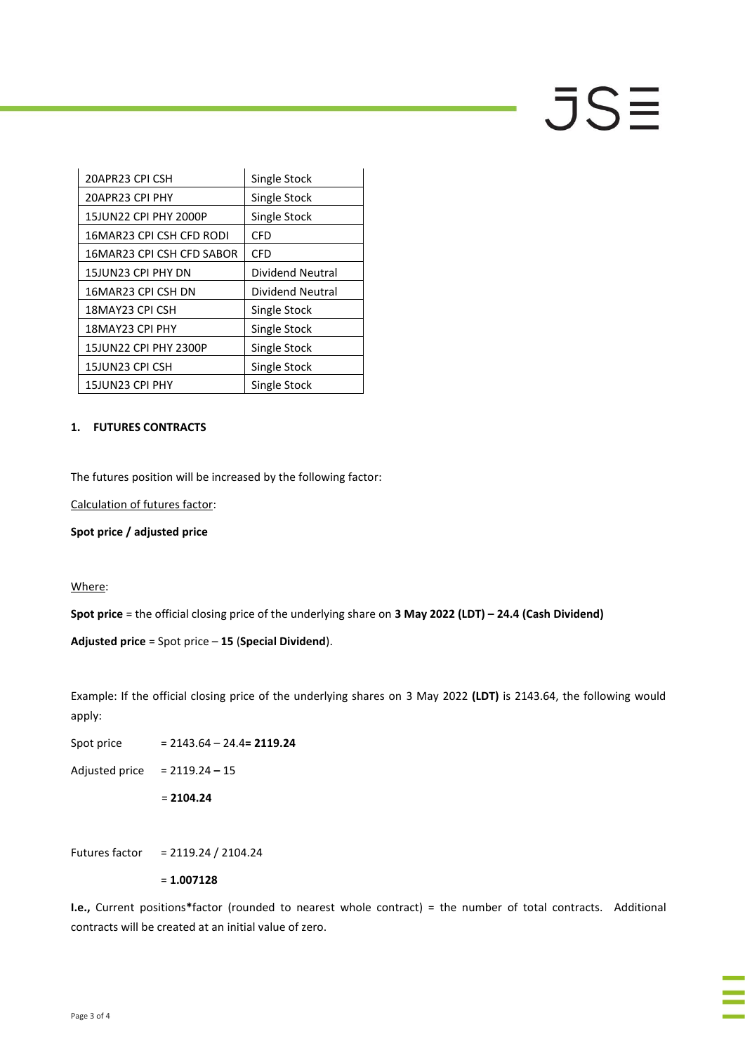# JSE

| 20APR23 CPI CSH           | Single Stock     |
|---------------------------|------------------|
| 20APR23 CPI PHY           | Single Stock     |
| 15JUN22 CPI PHY 2000P     | Single Stock     |
| 16MAR23 CPI CSH CFD RODI  | CFD              |
| 16MAR23 CPI CSH CFD SABOR | <b>CFD</b>       |
| 15JUN23 CPI PHY DN        | Dividend Neutral |
| 16MAR23 CPI CSH DN        | Dividend Neutral |
| 18MAY23 CPI CSH           | Single Stock     |
| 18MAY23 CPI PHY           | Single Stock     |
| 15JUN22 CPI PHY 2300P     | Single Stock     |
| 15JUN23 CPI CSH           | Single Stock     |
| 15JUN23 CPI PHY           | Single Stock     |

### **1. FUTURES CONTRACTS**

The futures position will be increased by the following factor:

Calculation of futures factor:

**Spot price / adjusted price**

### Where:

**Spot price** = the official closing price of the underlying share on **3 May 2022 (LDT) – 24.4 (Cash Dividend)**

**Adjusted price** = Spot price – **15** (**Special Dividend**).

Example: If the official closing price of the underlying shares on 3 May 2022 **(LDT)** is 2143.64, the following would apply:

Spot price = 2143.64 – 24.4**= 2119.24**

Adjusted price = 2119.24 **–** 15

= **2104.24**

Futures factor = 2119.24 / 2104.24

= **1.007128**

**I.e.,** Current positions**\***factor (rounded to nearest whole contract) = the number of total contracts. Additional contracts will be created at an initial value of zero.